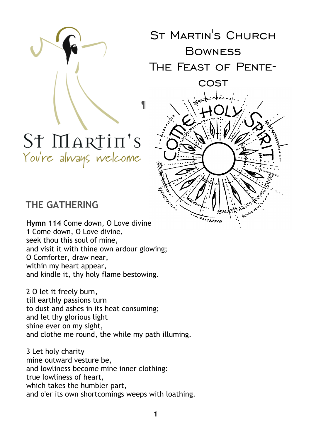

**¶** 



**THE GATHERING**

**Hymn 114** Come down, O Love divine 1 Come down, O Love divine, seek thou this soul of mine, and visit it with thine own ardour glowing; O Comforter, draw near, within my heart appear, and kindle it, thy holy flame bestowing.

2 O let it freely burn, till earthly passions turn to dust and ashes in its heat consuming; and let thy glorious light shine ever on my sight, and clothe me round, the while my path illuming.

3 Let holy charity mine outward vesture be, and lowliness become mine inner clothing: true lowliness of heart, which takes the humbler part, and o'er its own shortcomings weeps with loathing.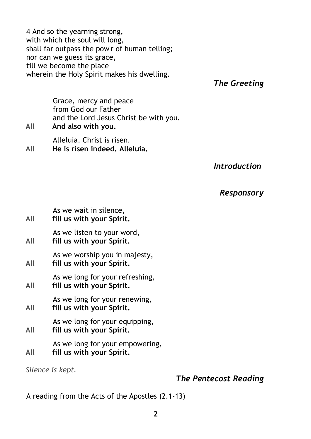4 And so the yearning strong, with which the soul will long, shall far outpass the pow'r of human telling; nor can we guess its grace, till we become the place wherein the Holy Spirit makes his dwelling.

*The Greeting*

Grace, mercy and peace from God our Father and the Lord Jesus Christ be with you. **All And also with you.**

Alleluia. Christ is risen.

**All He is risen indeed. Alleluia.**

*Introduction* 

# *Responsory*

As we wait in silence,

**All fill us with your Spirit.**

As we listen to your word,

**All fill us with your Spirit.**

As we worship you in majesty,

**All fill us with your Spirit.**

As we long for your refreshing,

**All fill us with your Spirit.**

As we long for your renewing,

**All fill us with your Spirit.**

As we long for your equipping,

**All fill us with your Spirit.**

As we long for your empowering,

**All fill us with your Spirit.**

*Silence is kept.*

# *The Pentecost Reading*

A reading from the Acts of the Apostles (2.1-13)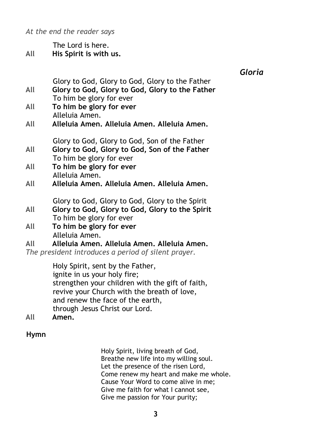*At the end the reader says* 

The Lord is here.

**All His Spirit is with us.** 

*Gloria*

|     | Glory to God, Glory to God, Glory to the Father     |
|-----|-----------------------------------------------------|
| All | Glory to God, Glory to God, Glory to the Father     |
|     | To him be glory for ever                            |
| All | To him be glory for ever                            |
|     | Alleluia Amen.                                      |
| All | Alleluia Amen, Alleluia Amen, Alleluia Amen.        |
|     | Glory to God, Glory to God, Son of the Father       |
| All | Glory to God, Glory to God, Son of the Father       |
|     | To him be glory for ever                            |
| All | To him be glory for ever                            |
|     | Alleluia Amen.                                      |
| All | Alleluia Amen, Alleluia Amen, Alleluia Amen,        |
|     | Glory to God, Glory to God, Glory to the Spirit     |
| All | Glory to God, Glory to God, Glory to the Spirit     |
|     | To him be glory for ever                            |
| All | To him be glory for ever                            |
|     | Alleluia Amen.                                      |
| All | Alleluia Amen. Alleluia Amen. Alleluia Amen.        |
|     | The president introduces a period of silent prayer. |

Holy Spirit, sent by the Father, ignite in us your holy fire; strengthen your children with the gift of faith, revive your Church with the breath of love, and renew the face of the earth, through Jesus Christ our Lord.

**All Amen.**

#### **Hymn**

Holy Spirit, living breath of God, Breathe new life into my willing soul. Let the presence of the risen Lord, Come renew my heart and make me whole. Cause Your Word to come alive in me; Give me faith for what I cannot see, Give me passion for Your purity;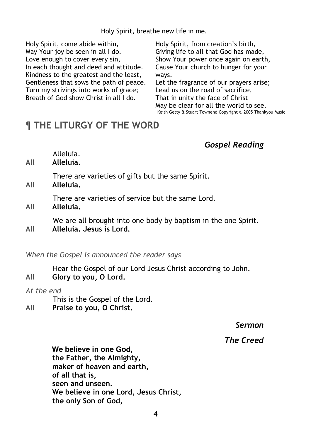Holy Spirit, breathe new life in me.

Holy Spirit, come abide within, May Your joy be seen in all I do. Love enough to cover every sin, In each thought and deed and attitude. Kindness to the greatest and the least, Gentleness that sows the path of peace. Turn my strivings into works of grace; Breath of God show Christ in all I do.

Holy Spirit, from creation's birth, Giving life to all that God has made, Show Your power once again on earth, Cause Your church to hunger for your ways.

Let the fragrance of our prayers arise; Lead us on the road of sacrifice, That in unity the face of Christ May be clear for all the world to see. Keith Getty & Stuart Townend Copyright © 2005 Thankyou Music

# **¶ THE LITURGY OF THE WORD**

### *Gospel Reading*

Alleluia.

**All Alleluia.**

There are varieties of gifts but the same Spirit.

**All Alleluia.**

There are varieties of service but the same Lord.

**All Alleluia.**

We are all brought into one body by baptism in the one Spirit.

**All Alleluia. Jesus is Lord.**

*When the Gospel is announced the reader says*

Hear the Gospel of our Lord Jesus Christ according to John. **All Glory to you, O Lord.**

*At the end*

This is the Gospel of the Lord.

**All Praise to you, O Christ.** 

*Sermon*

*The Creed*

**We believe in one God, the Father, the Almighty, maker of heaven and earth, of all that is, seen and unseen. We believe in one Lord, Jesus Christ, the only Son of God,**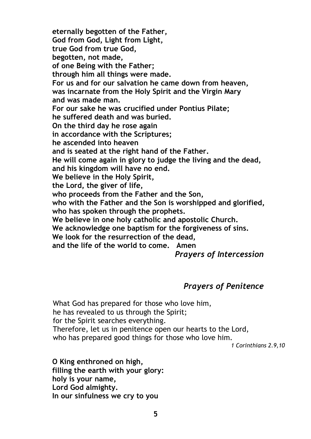**eternally begotten of the Father, God from God, Light from Light, true God from true God, begotten, not made, of one Being with the Father; through him all things were made. For us and for our salvation he came down from heaven, was incarnate from the Holy Spirit and the Virgin Mary and was made man. For our sake he was crucified under Pontius Pilate; he suffered death and was buried. On the third day he rose again in accordance with the Scriptures; he ascended into heaven and is seated at the right hand of the Father. He will come again in glory to judge the living and the dead, and his kingdom will have no end. We believe in the Holy Spirit, the Lord, the giver of life, who proceeds from the Father and the Son, who with the Father and the Son is worshipped and glorified, who has spoken through the prophets. We believe in one holy catholic and apostolic Church. We acknowledge one baptism for the forgiveness of sins. We look for the resurrection of the dead, and the life of the world to come. Amen** *Prayers of Intercession*

### *Prayers of Penitence*

What God has prepared for those who love him, he has revealed to us through the Spirit; for the Spirit searches everything. Therefore, let us in penitence open our hearts to the Lord, who has prepared good things for those who love him.

*1 Corinthians 2.9,10*

**O King enthroned on high, filling the earth with your glory: holy is your name, Lord God almighty. In our sinfulness we cry to you**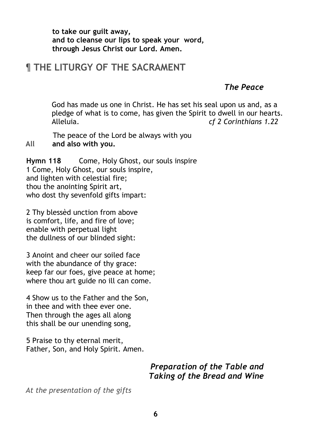**to take our guilt away, and to cleanse our lips to speak your word, through Jesus Christ our Lord. Amen.**

# **¶ THE LITURGY OF THE SACRAMENT**

### *The Peace*

God has made us one in Christ. He has set his seal upon us and, as a pledge of what is to come, has given the Spirit to dwell in our hearts. Alleluia. *cf 2 Corinthians 1.22*

The peace of the Lord be always with you **All and also with you.**

**Hymn 118** Come, Holy Ghost, our souls inspire 1 Come, Holy Ghost, our souls inspire, and lighten with celestial fire; thou the anointing Spirit art, who dost thy sevenfold gifts impart:

2 Thy blessèd unction from above is comfort, life, and fire of love; enable with perpetual light the dullness of our blinded sight:

3 Anoint and cheer our soiled face with the abundance of thy grace: keep far our foes, give peace at home; where thou art guide no ill can come.

4 Show us to the Father and the Son, in thee and with thee ever one. Then through the ages all along this shall be our unending song,

5 Praise to thy eternal merit, Father, Son, and Holy Spirit. Amen.

> *Preparation of the Table and Taking of the Bread and Wine*

*At the presentation of the gifts*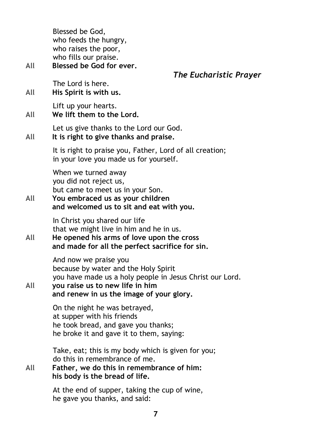Blessed be God, who feeds the hungry, who raises the poor, who fills our praise.

**All Blessed be God for ever.**

#### *The Eucharistic Prayer*

The Lord is here.

**All His Spirit is with us.**

Lift up your hearts.

**All We lift them to the Lord.**

Let us give thanks to the Lord our God. **All It is right to give thanks and praise.**

> It is right to praise you, Father, Lord of all creation; in your love you made us for yourself.

When we turned away you did not reject us, but came to meet us in your Son.

**All You embraced us as your children and welcomed us to sit and eat with you.**

> In Christ you shared our life that we might live in him and he in us.

**All He opened his arms of love upon the cross and made for all the perfect sacrifice for sin.**

> And now we praise you because by water and the Holy Spirit you have made us a holy people in Jesus Christ our Lord.

**All you raise us to new life in him and renew in us the image of your glory.**

> On the night he was betrayed, at supper with his friends he took bread, and gave you thanks; he broke it and gave it to them, saying:

Take, eat; this is my body which is given for you; do this in remembrance of me. **All Father, we do this in remembrance of him:**

**his body is the bread of life.**

At the end of supper, taking the cup of wine, he gave you thanks, and said: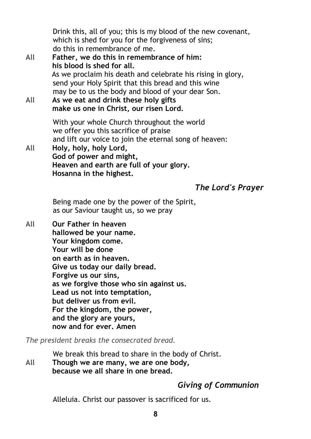Drink this, all of you; this is my blood of the new covenant, which is shed for you for the forgiveness of sins; do this in remembrance of me.

#### **All Father, we do this in remembrance of him: his blood is shed for all.** As we proclaim his death and celebrate his rising in glory, send your Holy Spirit that this bread and this wine

may be to us the body and blood of your dear Son.

**All As we eat and drink these holy gifts make us one in Christ, our risen Lord.**

With your whole Church throughout the world we offer you this sacrifice of praise and lift our voice to join the eternal song of heaven: **All Holy, holy, holy Lord,**

**God of power and might, Heaven and earth are full of your glory. Hosanna in the highest.**

# *The Lord's Prayer*

Being made one by the power of the Spirit, as our Saviour taught us, so we pray

**All Our Father in heaven hallowed be your name. Your kingdom come. Your will be done on earth as in heaven. Give us today our daily bread. Forgive us our sins, as we forgive those who sin against us. Lead us not into temptation, but deliver us from evil. For the kingdom, the power, and the glory are yours, now and for ever. Amen**

*The president breaks the consecrated bread.* 

We break this bread to share in the body of Christ.

**All Though we are many, we are one body, because we all share in one bread.**

# *Giving of Communion*

Alleluia. Christ our passover is sacrificed for us.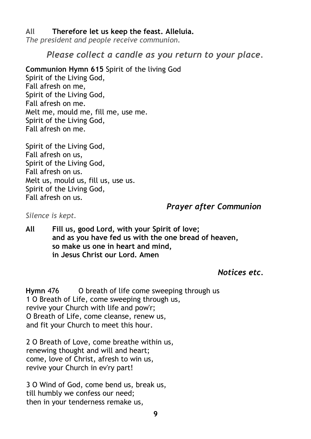#### **All Therefore let us keep the feast. Alleluia.**

*The president and people receive communion.*

### *Please collect a candle as you return to your place.*

### **Communion Hymn 615** Spirit of the living God

Spirit of the Living God, Fall afresh on me, Spirit of the Living God, Fall afresh on me. Melt me, mould me, fill me, use me. Spirit of the Living God, Fall afresh on me.

Spirit of the Living God, Fall afresh on us, Spirit of the Living God, Fall afresh on us. Melt us, mould us, fill us, use us. Spirit of the Living God, Fall afresh on us.

### *Prayer after Communion*

*Silence is kept.* 

**All Fill us, good Lord, with your Spirit of love; and as you have fed us with the one bread of heaven, so make us one in heart and mind, in Jesus Christ our Lord. Amen**

*Notices etc.*

**Hymn** 476 O breath of life come sweeping through us 1 O Breath of Life, come sweeping through us, revive your Church with life and pow'r; O Breath of Life, come cleanse, renew us, and fit your Church to meet this hour.

2 O Breath of Love, come breathe within us, renewing thought and will and heart; come, love of Christ, afresh to win us, revive your Church in ev'ry part!

3 O Wind of God, come bend us, break us, till humbly we confess our need; then in your tenderness remake us,